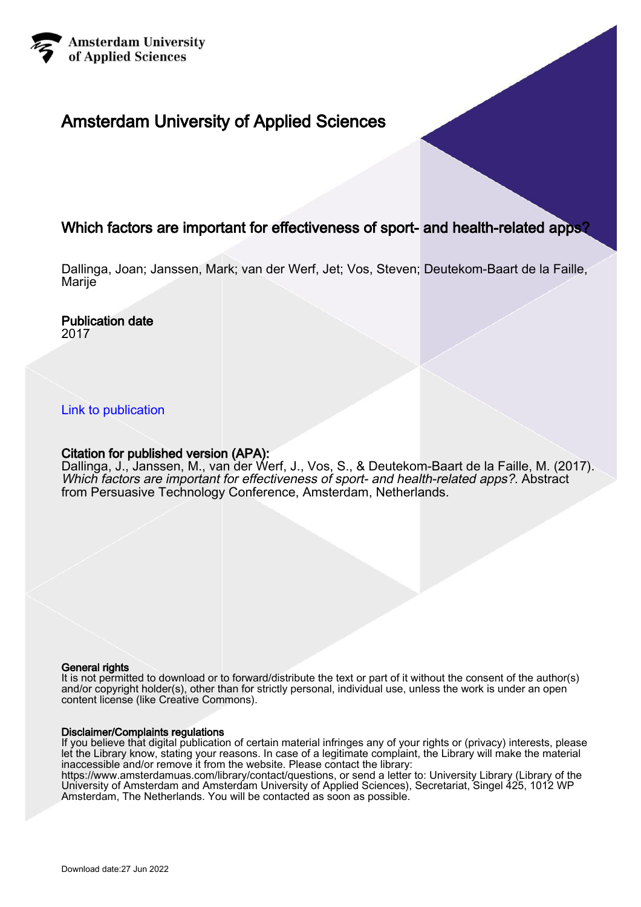

#### Amsterdam University of Applied Sciences

#### Which factors are important for effectiveness of sport- and health-related apps?

Dallinga, Joan; Janssen, Mark; van der Werf, Jet; Vos, Steven; Deutekom-Baart de la Faille, Marije

#### Publication date

2017

#### [Link to publication](https://research.hva.nl/en/publications/c4bf8a49-9db9-4a49-b103-3de20c86f70c)

#### Citation for published version (APA):

Dallinga, J., Janssen, M., van der Werf, J., Vos, S., & Deutekom-Baart de la Faille, M. (2017). Which factors are important for effectiveness of sport- and health-related apps?. Abstract from Persuasive Technology Conference, Amsterdam, Netherlands.

#### General rights

It is not permitted to download or to forward/distribute the text or part of it without the consent of the author(s) and/or copyright holder(s), other than for strictly personal, individual use, unless the work is under an open content license (like Creative Commons).

#### Disclaimer/Complaints regulations

If you believe that digital publication of certain material infringes any of your rights or (privacy) interests, please let the Library know, stating your reasons. In case of a legitimate complaint, the Library will make the material inaccessible and/or remove it from the website. Please contact the library:

https://www.amsterdamuas.com/library/contact/questions, or send a letter to: University Library (Library of the University of Amsterdam and Amsterdam University of Applied Sciences), Secretariat, Singel 425, 1012 WP Amsterdam, The Netherlands. You will be contacted as soon as possible.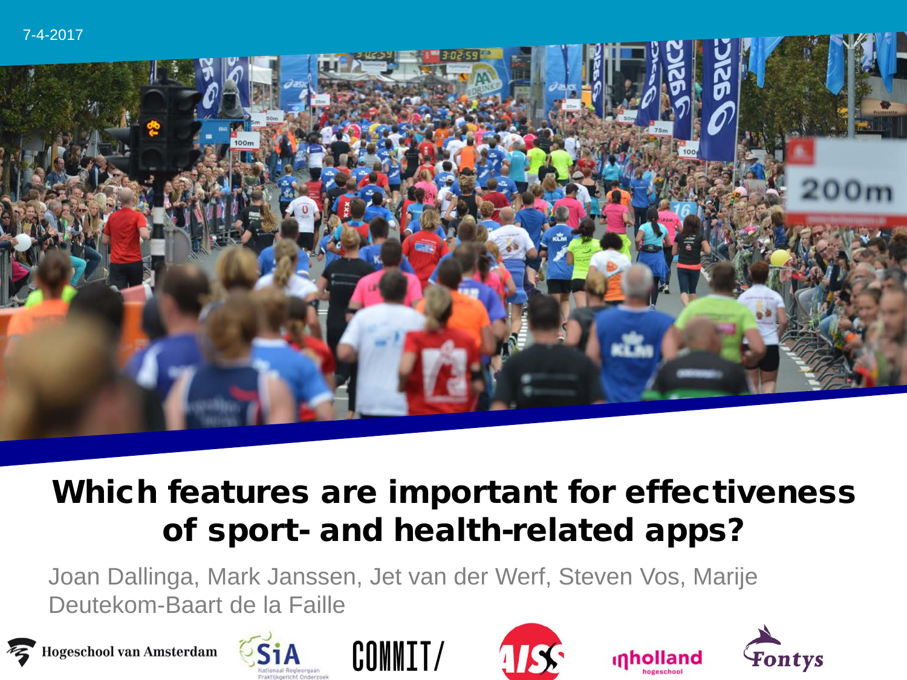

### Which features are important for effectiveness of sport- and health-related apps?

Joan Dallinga, Mark Janssen, Jet van der Werf, Steven Vos, Marije Deutekom-Baart de la Faille











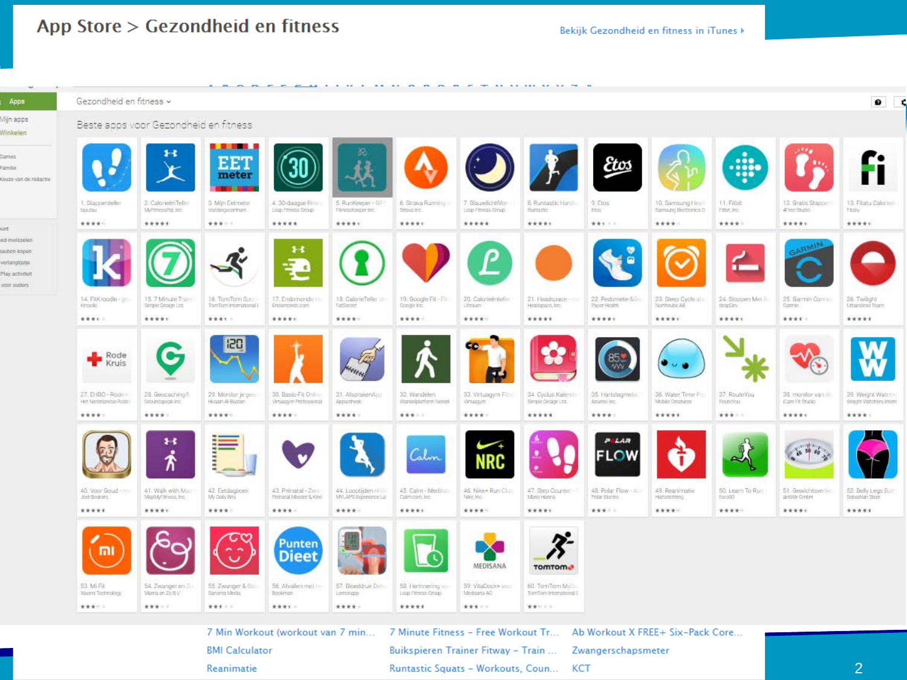#### App Store > Gezondheid en fitness

Bekijk Gezondheid en fitness in iTunes >

| $\mathcal{M}$ and $\mathcal{M}$ |                                            |                                          |                                           |                                                |                                            |                                        |                                           | --------------                           |                                       |                                            |                                                         |                                       |                                           |  |
|---------------------------------|--------------------------------------------|------------------------------------------|-------------------------------------------|------------------------------------------------|--------------------------------------------|----------------------------------------|-------------------------------------------|------------------------------------------|---------------------------------------|--------------------------------------------|---------------------------------------------------------|---------------------------------------|-------------------------------------------|--|
|                                 | Gezondheid en fitness v                    |                                          |                                           |                                                |                                            |                                        |                                           |                                          |                                       |                                            |                                                         |                                       | $\bullet$                                 |  |
|                                 |                                            | Beste apps voor Gezondheid en fitness.   |                                           |                                                |                                            |                                        |                                           |                                          |                                       |                                            |                                                         |                                       |                                           |  |
| Kouzo van de redactie           |                                            | ×                                        | .<br>EET<br>meter                         |                                                |                                            |                                        |                                           |                                          | Etos                                  |                                            | $\bullet\bullet\bullet$<br>.<br>$\bullet\bullet\bullet$ |                                       |                                           |  |
|                                 | I Stappenteller<br>tayutau                 | 2. Calorieën Teller<br>MyRmessRat, Inc.  | 3. Mijn Eelmete<br>Vocdingscontrain       | 4.30-daagse filme<br>Leap Fitness Group        | :5. RunKeeper - Gi-<br>FitnessKeeper Inc.  | 6. Straya Rumning<br>Straya Inc.       | 7. Blauwlichtfilter<br>Leap Fitness Group | B. Runtastic Hard<br>Runsson             | 9:Elos<br>Ethe                        | 10. Samsung Health<br>Samsung Bloctonics D | 11. Fitbit<br>Fittit, Inc.                              | 12. Gratis Stappent<br>AFree Shutlo   | 13. Filatu Calorien<br>Fitanu             |  |
|                                 | *****                                      | *****                                    | ****                                      | *****                                          | *****                                      | *****                                  | *****                                     | *****                                    | 黄青石三三                                 | ****                                       | *****                                                   | *****                                 | *****                                     |  |
|                                 |                                            |                                          |                                           | $\ddot{\phantom{1}}$<br>÷<br>- e               |                                            |                                        |                                           |                                          |                                       |                                            | $\mathbf{r}$                                            |                                       |                                           |  |
|                                 | 14 FIXroodle-gill<br>Kroode.               | 15. 7 Minute Train<br>Sample Design Ltd. | 16 TomTom Soci<br>Torrifornintemational i | 17. Endomondo Hill<br>Endomondo.com            | 18 Calorie Teller (1)<br>FatSnoret         | 19. Google Fit - Fit<br>Google Inc.    | 20. Caloneentelle<br>Цезали               | 21.19shdspace-mill<br>Headspace, Inc.    | 22. Pediameter SG-<br>Pacer Health    | 23. Sleep Cycle of it.<br>Northoube AB     | 24. Stoppen Mel F<br>despDoy                            | 25. Garmin Cormilli<br><b>Gammo</b>   | 26 Twilight<br>Liberateid Team            |  |
|                                 | ****                                       | *****                                    | ****                                      | *****                                          | *****                                      | *****                                  | *****                                     | *****                                    | *****                                 | *****                                      | *****                                                   | ****                                  | *****                                     |  |
|                                 | Rode<br><b>Kruis</b>                       |                                          | 120                                       |                                                |                                            |                                        |                                           |                                          |                                       |                                            |                                                         |                                       |                                           |  |
|                                 | 27. Et (BO - Rade)<br>Het Nederlandse Rode | 28. Geocaching®<br>finosindspectiulne.   | 29. Monitor je geo-<br>Husan Al-Bustan    | 30. Basic-Fit Online<br>Virtuagym Professional | 31. AfsprakenApp<br>Approximate:           | 32. Wandelen<br>Wandelplatform Nederl  | 33. Virtuagym Film<br>Virtuagym.          | 34. Cyclus Kalents<br>Simple Design Ltd. | 35. Hartslagmeter<br>Azurrao Inc.     | 36, Water Time Pitt<br>Mobile Creatures    | 37 RouteYou<br>Flound Your                              | 38. monitor van de<br>Care Fit Studio | 39 Weight Watch<br>Wolcht Watchers Intern |  |
|                                 | ****                                       | ****                                     | *****                                     | ****                                           | ****                                       | ****                                   | ****                                      | *****                                    | *****                                 | *****                                      | ****                                                    | *****                                 | ****                                      |  |
|                                 |                                            | 88<br>٠<br>-т<br>n                       |                                           |                                                |                                            | Calm                                   | D                                         |                                          | PELAR<br><b>FLOW</b>                  |                                            |                                                         | $10 - 30$ 60<br>$\bullet$             |                                           |  |
|                                 | 40. Voor Goud - mill<br>Jod Sculers        | 41. Walk with Man<br>MapMyFitness, Inc.  | 42 Eetdagpoek<br>My Goly Bits             | 43. Prenatal - Zwill<br>Prenatal Mooder & Kind | .44. Locotijden ni Gi<br>MAPS Expensive La | 45 Calm - Meditar<br>Calmoom, Inc.     | 46. Nike+ Run Clini<br>Füller, Imm        | 47. Step Counter -<br>Maria Hatsha       | 48. Polar Flow - Act<br>Polar Electro | 49. Reanimatie<br>Hartstichting            | 50. Learn To Run<br>fonoi30                             | 51 Gewichtsverten<br>aktiVir GmbH     | 52. Belly Legs Bull<br>Schedlan Story     |  |
|                                 | *****                                      | *****                                    | ****                                      | ****                                           | ****                                       | *****                                  | *****                                     | *****                                    | ****                                  | *****                                      | *****                                                   | *****                                 | *****                                     |  |
|                                 | m                                          |                                          |                                           | Punten<br><b>Dieet</b>                         |                                            |                                        | MEDISANA                                  | <b>TOMTOM</b>                            |                                       |                                            |                                                         |                                       |                                           |  |
|                                 | 53. Mi Fil.<br>Xiaomi Technology           | 54. Zwanger en Z.<br>Morris en Zo B V    | 55 Zwanger & Elli<br>Saniama Media        | 56. Alvalen met im<br>Bookiman                 | 57. Bloeddruk Det<br>Lomorapp              | 58 Hermeeing von<br>Loap Fitness Group | 59. VitaDock+ von<br>Medisana AG          | 60. TomTom My<br>TomTom International L  |                                       |                                            |                                                         |                                       |                                           |  |
|                                 | *****                                      | *** - -                                  | *** : :                                   | ****                                           | ****                                       | *****                                  | ****                                      | 黄黄红豆汤                                    |                                       |                                            |                                                         |                                       |                                           |  |

7 Min Workout (workout van 7 min... **BMI Calculator** This research is compared by the SIA', part of the Netherlands Organisation of the Netherlands Organisation for SCI

7 Minute Fitness - Free Workout Tr... Ab Workout X FREE+ Six-Pack Core... Buikspieren Trainer Fitway - Train ... Zwangerschapsmeter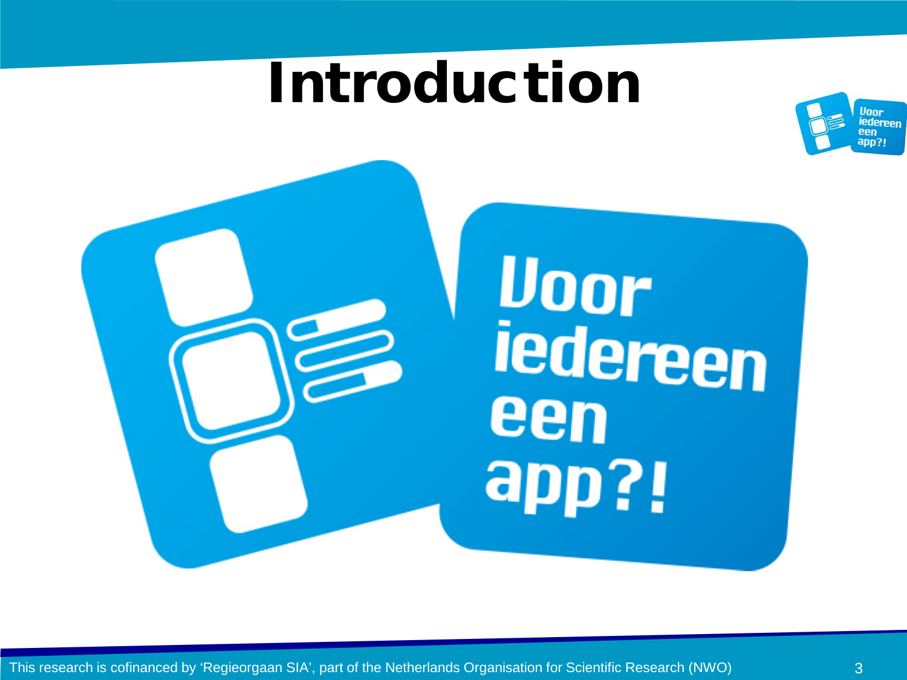### Introduction



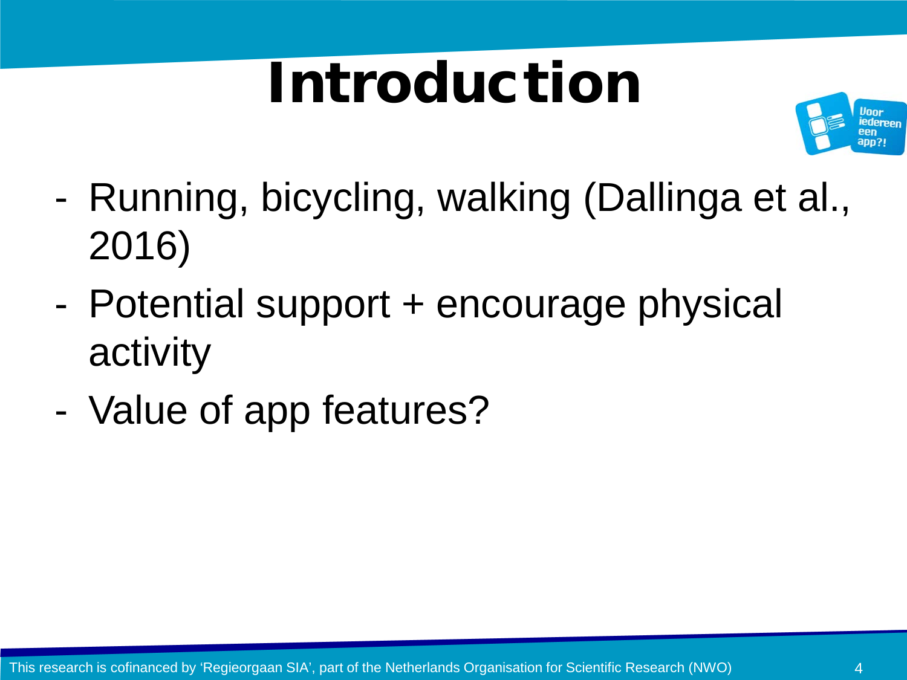# Introduction



- Running, bicycling, walking (Dallinga et al., 2016)
- Potential support + encourage physical activity
- Value of app features?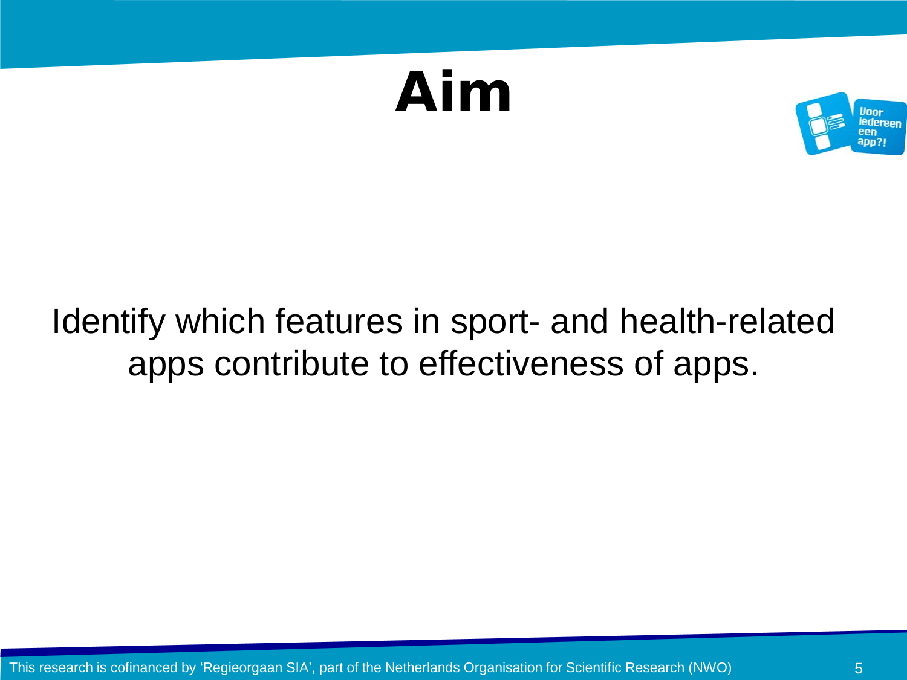## Aim



### Identify which features in sport- and health-related apps contribute to effectiveness of apps.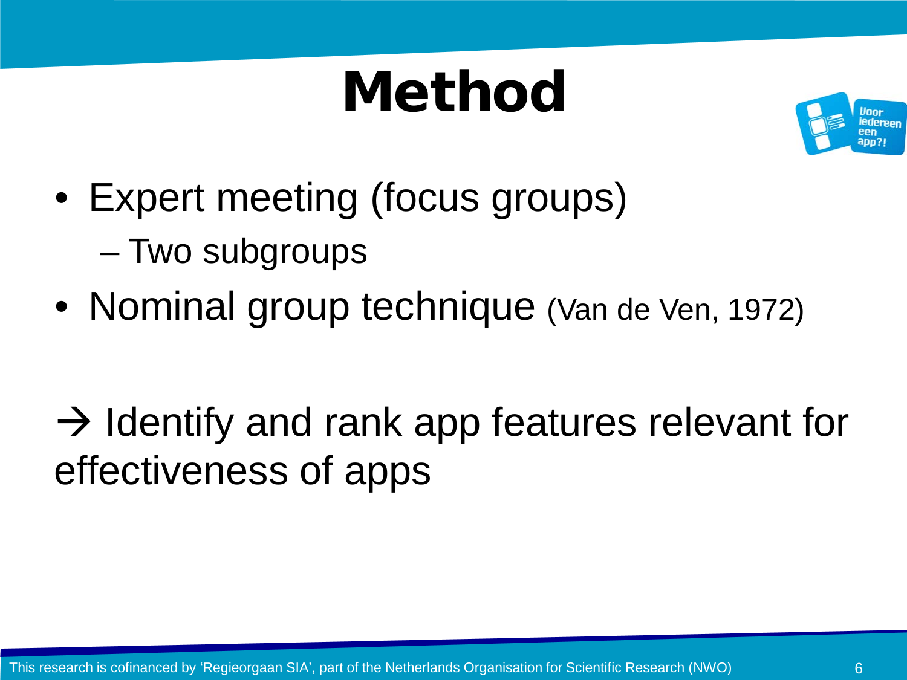# **Method**



- Expert meeting (focus groups)
	- Two subgroups
- Nominal group technique (Van de Ven, 1972)

 $\rightarrow$  Identify and rank app features relevant for effectiveness of apps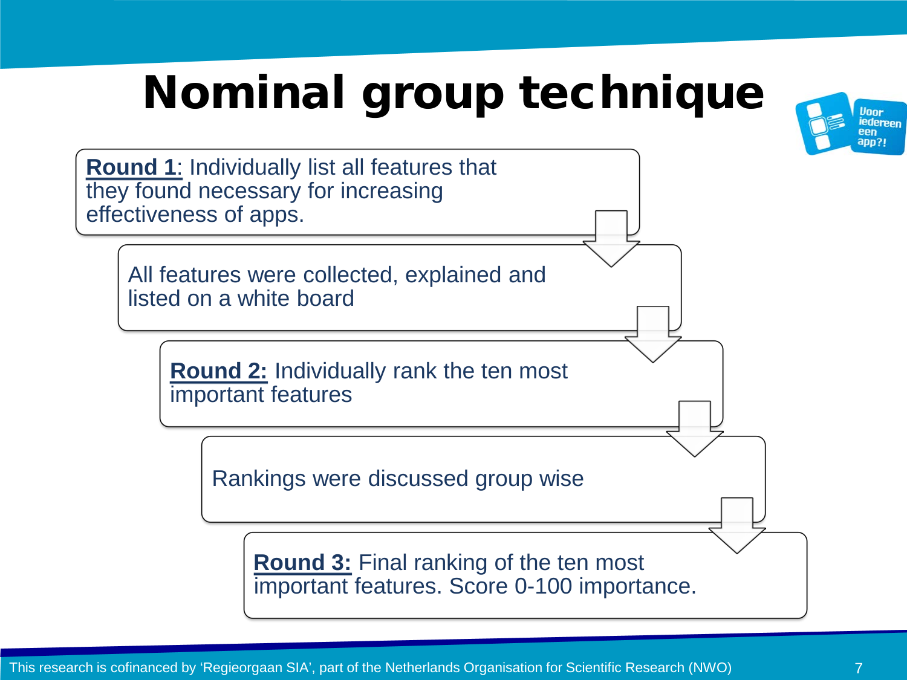### Nominal group technique



**Round 1**: Individually list all features that they found necessary for increasing effectiveness of apps. All features were collected, explained and listed on a white board **Round 2:** Individually rank the ten most important features Rankings were discussed group wise **Round 3:** Final ranking of the ten most important features. Score 0-100 importance.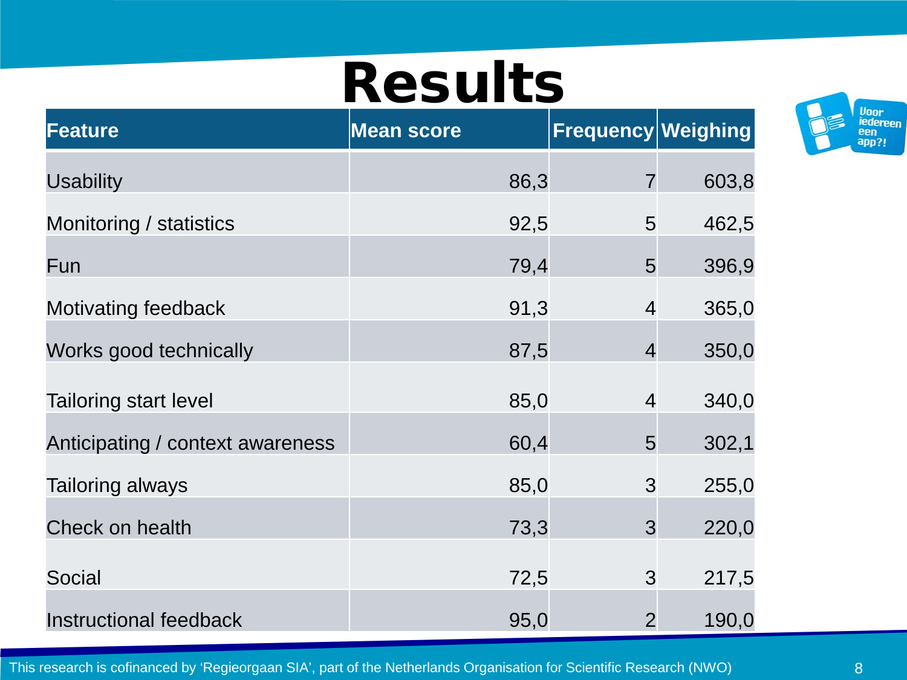## Results

| <b>Feature</b>                   | <b>Mean score</b> | <b>Frequency Weighing</b> |       |
|----------------------------------|-------------------|---------------------------|-------|
| <b>Usability</b>                 | 86,3              | $\overline{7}$            | 603,8 |
| Monitoring / statistics          | 92,5              | 5                         | 462,5 |
| Fun                              | 79,4              | 5                         | 396,9 |
| Motivating feedback              | 91,3              | $\overline{4}$            | 365,0 |
| Works good technically           | 87,5              | $\overline{4}$            | 350,0 |
| <b>Tailoring start level</b>     | 85,0              | $\overline{4}$            | 340,0 |
| Anticipating / context awareness | 60,4              | 5                         | 302,1 |
| <b>Tailoring always</b>          | 85,0              | 3                         | 255,0 |
| Check on health                  | 73,3              | 3                         | 220,0 |
| Social                           | 72,5              | 3                         | 217,5 |
| <b>Instructional feedback</b>    | 95,0              | $\overline{2}$            | 190,0 |



This research is cofinanced by 'Regieorgaan SIA', part of the Netherlands Organisation for Scientific Research (NWO)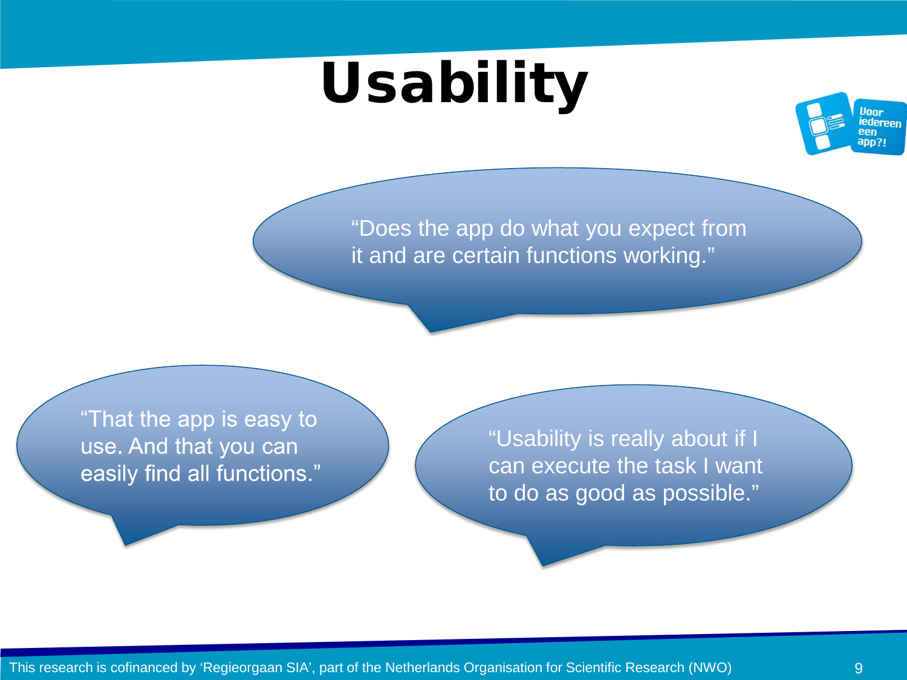# Usability



"Does the app do what you expect from it and are certain functions working."

"That the app is easy to use. And that you can easily find all functions."

"Usability is really about if I can execute the task I want to do as good as possible."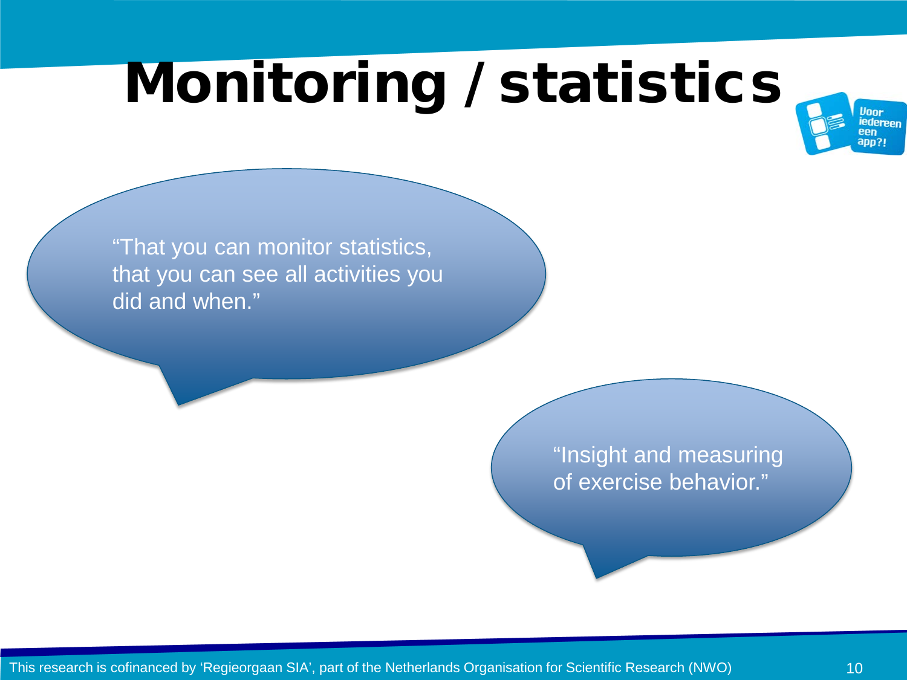# Monitoring / statistics



"That you can monitor statistics, that you can see all activities you did and when."

> "Insight and measuring of exercise behavior."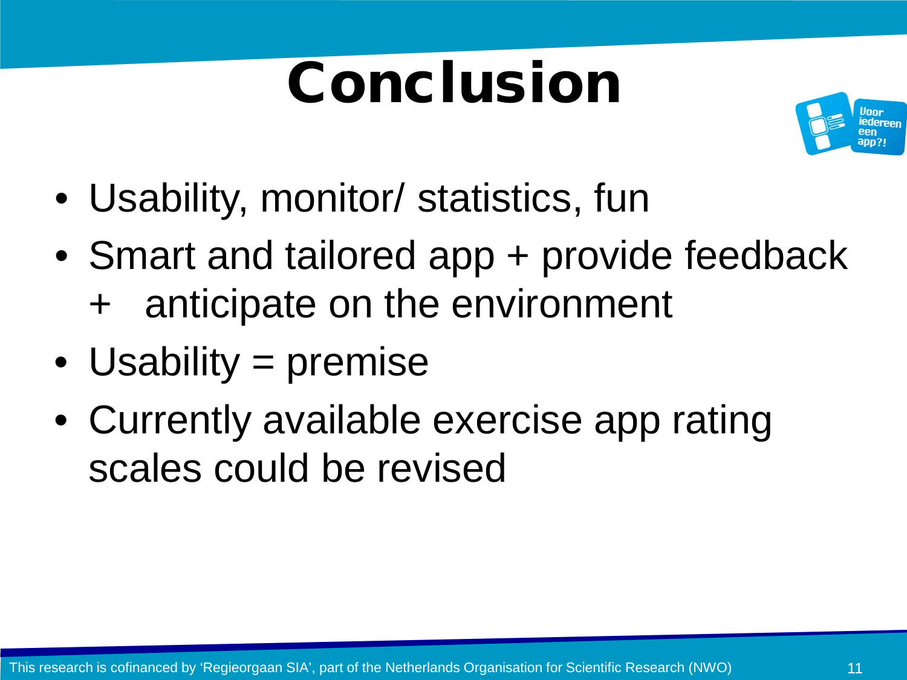# Conclusion



- Usability, monitor/ statistics, fun
- Smart and tailored app + provide feedback + anticipate on the environment
- Usability = premise
- Currently available exercise app rating scales could be revised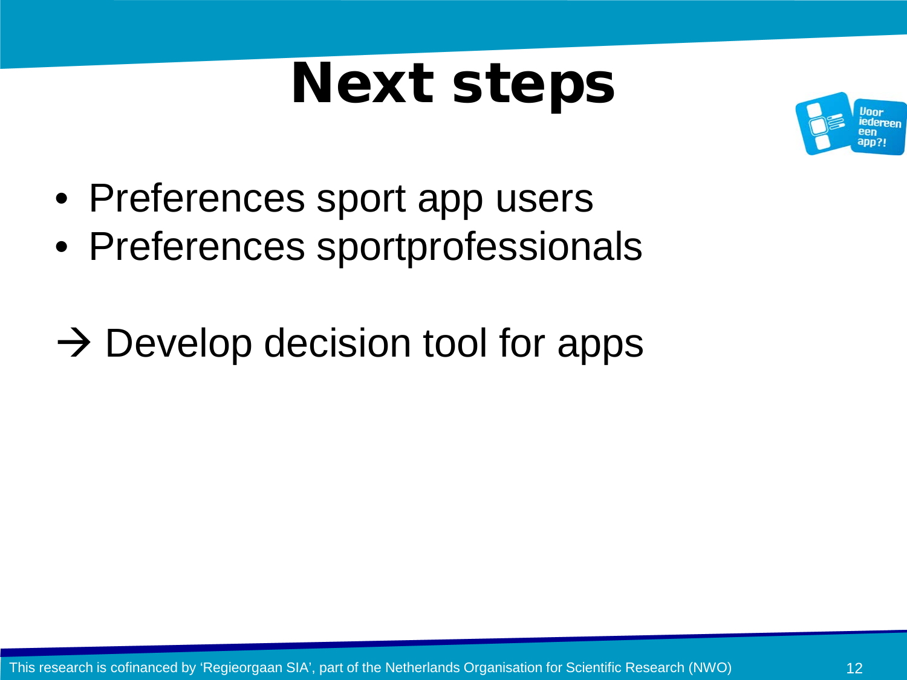# Next steps



- Preferences sport app users
- Preferences sportprofessionals
- $\rightarrow$  Develop decision tool for apps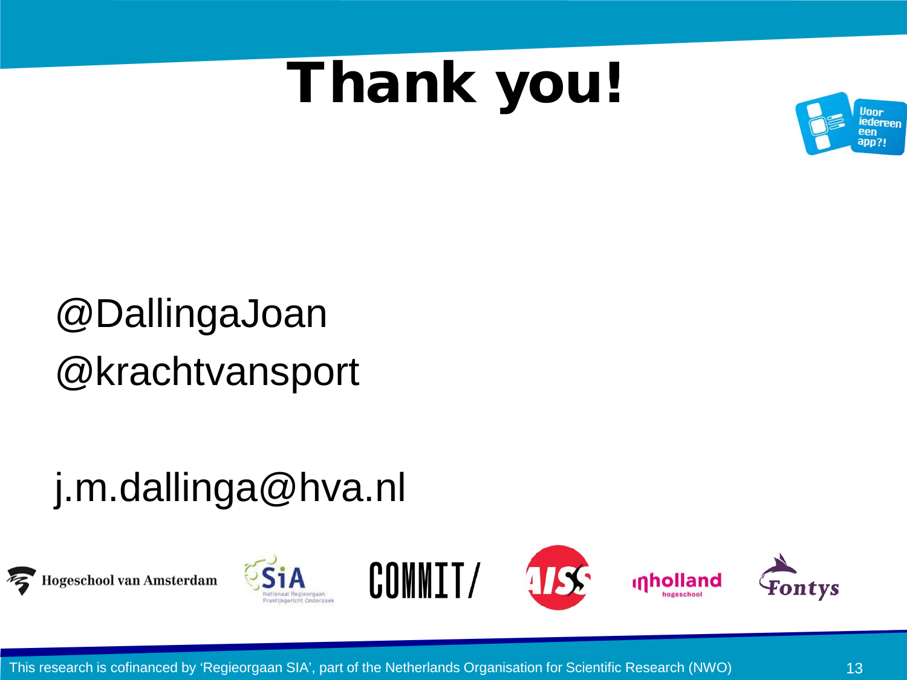## Thank you!



### @DallingaJoan @krachtvansport

### j.m.dallinga@hva.nl









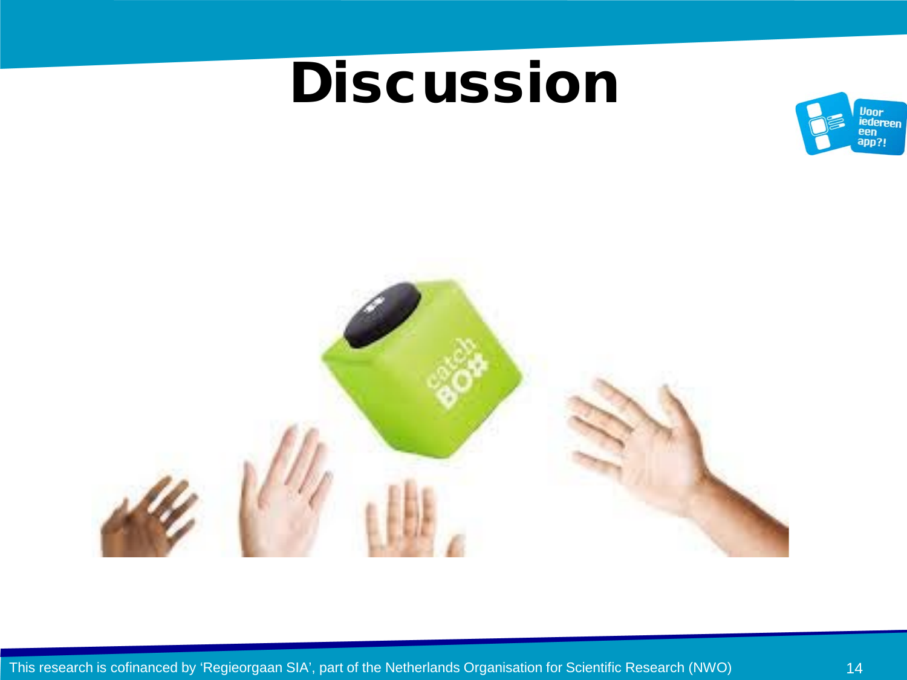### **Discussion**